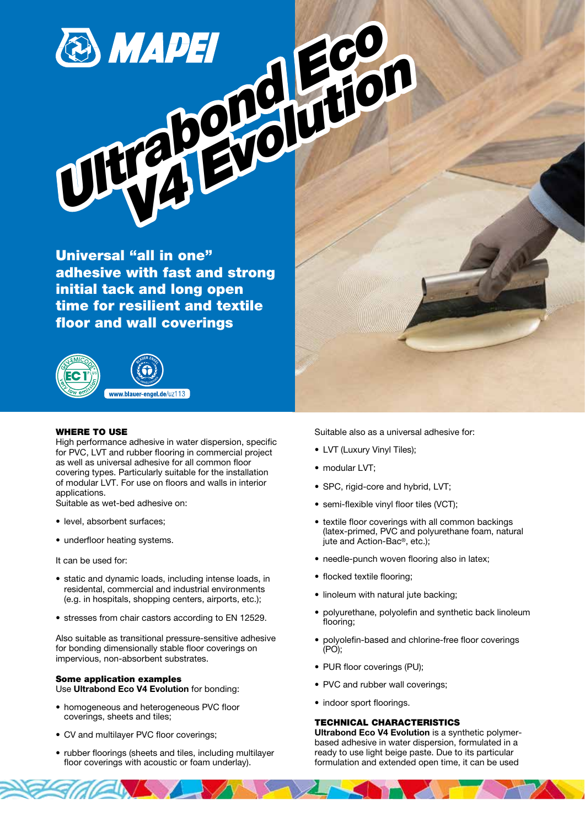# **B** MAPEI GO<br>ULTRABORGI HIO THE POPUL OF

Universal "all in one" adhesive with fast and strong initial tack and long open time for resilient and textile floor and wall coverings



### WHERE TO USE

High performance adhesive in water dispersion, specific for PVC, LVT and rubber flooring in commercial project as well as universal adhesive for all common floor covering types. Particularly suitable for the installation of modular LVT. For use on floors and walls in interior applications.

Suitable as wet-bed adhesive on:

- level, absorbent surfaces;
- underfloor heating systems.

It can be used for:

- static and dynamic loads, including intense loads, in residental, commercial and industrial environments (e.g. in hospitals, shopping centers, airports, etc.);
- stresses from chair castors according to EN 12529.

Also suitable as transitional pressure-sensitive adhesive for bonding dimensionally stable floor coverings on impervious, non-absorbent substrates.

# Some application examples Use Ultrabond Eco V4 Evolution for bonding:

- homogeneous and heterogeneous PVC floor coverings, sheets and tiles;
- CV and multilayer PVC floor coverings;
- rubber floorings (sheets and tiles, including multilayer floor coverings with acoustic or foam underlay).

Suitable also as a universal adhesive for:

- LVT (Luxury Vinyl Tiles);
- modular LVT;
- SPC, rigid-core and hybrid, LVT;
- semi-flexible vinyl floor tiles (VCT);
- textile floor coverings with all common backings (latex-primed, PVC and polyurethane foam, natural jute and Action-Bac®, etc.);
- needle-punch woven flooring also in latex;
- flocked textile flooring;
- linoleum with natural jute backing;
- polyurethane, polyolefin and synthetic back linoleum flooring;
- polyolefin-based and chlorine-free floor coverings (PO);
- PUR floor coverings (PU);
- PVC and rubber wall coverings:
- indoor sport floorings.

### TECHNICAL CHARACTERISTICS

Ultrabond Eco V4 Evolution is a synthetic polymerbased adhesive in water dispersion, formulated in a ready to use light beige paste. Due to its particular formulation and extended open time, it can be used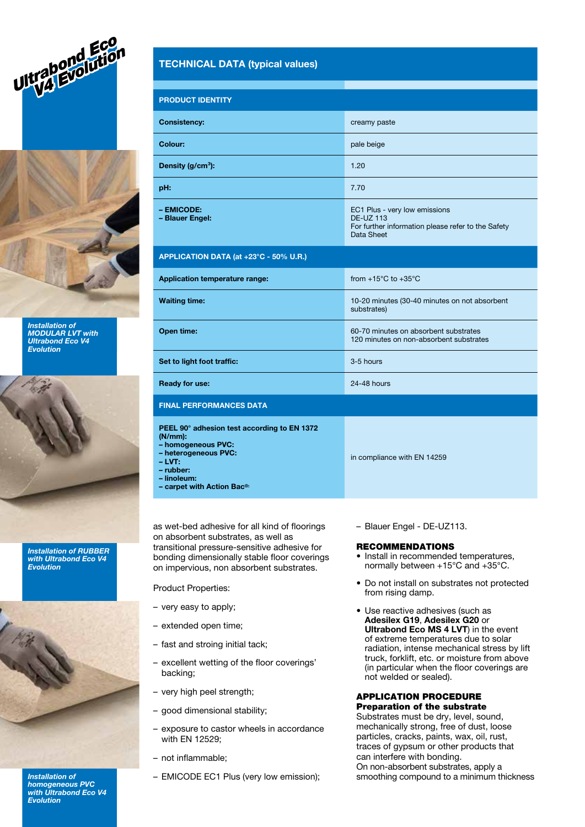



Installation of MODULAR LVT with Ultrabond Eco V4 Evolution



Installation of RUBBER with Ultrabond Eco V4 Evolution



Installation of homogeneous PVC with Ultrabond Eco V4 Evolution

# TECHNICAL DATA (typical values)

| <b>PRODUCT IDENTITY</b>                                                                                                                                                                 |                                                                                                                       |
|-----------------------------------------------------------------------------------------------------------------------------------------------------------------------------------------|-----------------------------------------------------------------------------------------------------------------------|
| <b>Consistency:</b>                                                                                                                                                                     | creamy paste                                                                                                          |
| Colour:                                                                                                                                                                                 | pale beige                                                                                                            |
| Density (g/cm <sup>3</sup> ):                                                                                                                                                           | 1.20                                                                                                                  |
| pH:                                                                                                                                                                                     | 7.70                                                                                                                  |
| - EMICODE:<br>- Blauer Engel:                                                                                                                                                           | EC1 Plus - very low emissions<br><b>DE-UZ 113</b><br>For further information please refer to the Safety<br>Data Sheet |
| APPLICATION DATA (at +23°C - 50% U.R.)                                                                                                                                                  |                                                                                                                       |
| <b>Application temperature range:</b>                                                                                                                                                   | from $+15^{\circ}$ C to $+35^{\circ}$ C                                                                               |
| <b>Waiting time:</b>                                                                                                                                                                    | 10-20 minutes (30-40 minutes on not absorbent<br>substrates)                                                          |
| Open time:                                                                                                                                                                              | 60-70 minutes on absorbent substrates<br>120 minutes on non-absorbent substrates                                      |
| Set to light foot traffic:                                                                                                                                                              | 3-5 hours                                                                                                             |
| <b>Ready for use:</b>                                                                                                                                                                   | 24-48 hours                                                                                                           |
| <b>FINAL PERFORMANCES DATA</b>                                                                                                                                                          |                                                                                                                       |
| PEEL 90° adhesion test according to EN 1372<br>$(N/mm)$ :<br>- homogeneous PVC:<br>- heterogeneous PVC:<br>- LVT:<br>– rubber:<br>- linoleum:<br>- carpet with Action Bac <sup>®:</sup> | in compliance with EN 14259                                                                                           |

as wet-bed adhesive for all kind of floorings on absorbent substrates, as well as transitional pressure-sensitive adhesive for bonding dimensionally stable floor coverings on impervious, non absorbent substrates.

Product Properties:

- very easy to apply;
- extended open time;
- fast and stroing initial tack;
- excellent wetting of the floor coverings' backing;
- very high peel strength;
- good dimensional stability;
- exposure to castor wheels in accordance with EN 12529;
- not inflammable;
- EMICODE EC1 Plus (very low emission);

– Blauer Engel - DE-UZ113.

#### RECOMMENDATIONS

- Install in recommended temperatures, normally between +15°C and +35°C.
- Do not install on substrates not protected from rising damp.
- Use reactive adhesives (such as Adesilex G19, Adesilex G20 or Ultrabond Eco MS 4 LVT) in the event of extreme temperatures due to solar radiation, intense mechanical stress by lift truck, forklift, etc. or moisture from above (in particular when the floor coverings are not welded or sealed).

#### APPLICATION PROCEDURE Preparation of the substrate

Substrates must be dry, level, sound, mechanically strong, free of dust, loose particles, cracks, paints, wax, oil, rust, traces of gypsum or other products that can interfere with bonding. On non-absorbent substrates, apply a smoothing compound to a minimum thickness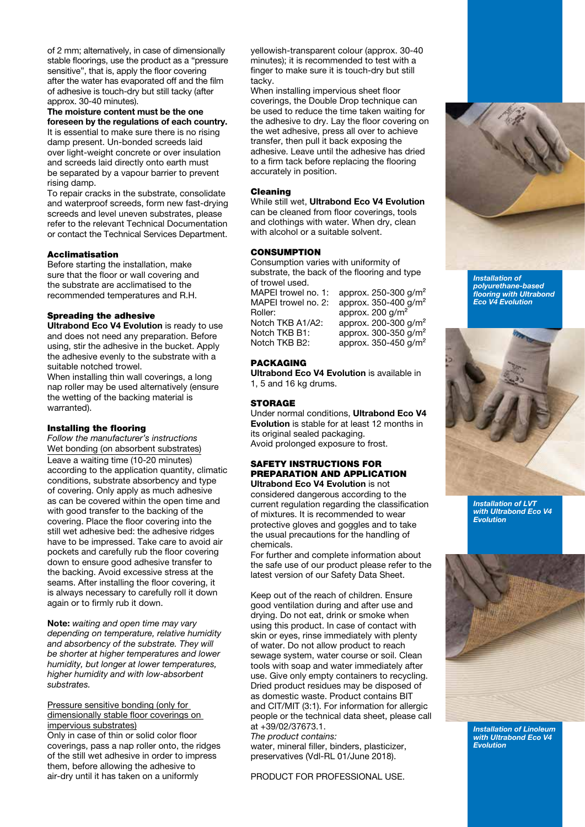of 2 mm; alternatively, in case of dimensionally stable floorings, use the product as a "pressure sensitive", that is, apply the floor covering after the water has evaporated off and the film of adhesive is touch-dry but still tacky (after approx. 30-40 minutes).

# The moisture content must be the one foreseen by the regulations of each country.

It is essential to make sure there is no rising damp present. Un-bonded screeds laid over light-weight concrete or over insulation and screeds laid directly onto earth must be separated by a vapour barrier to prevent rising damp.

To repair cracks in the substrate, consolidate and waterproof screeds, form new fast-drying screeds and level uneven substrates, please refer to the relevant Technical Documentation or contact the Technical Services Department.

### Acclimatisation

Before starting the installation, make sure that the floor or wall covering and the substrate are acclimatised to the recommended temperatures and R.H.

# Spreading the adhesive

Ultrabond Eco V4 Evolution is ready to use and does not need any preparation. Before using, stir the adhesive in the bucket. Apply the adhesive evenly to the substrate with a suitable notched trowel.

When installing thin wall coverings, a long nap roller may be used alternatively (ensure the wetting of the backing material is warranted).

#### Installing the flooring

Follow the manufacturer's instructions Wet bonding (on absorbent substrates) Leave a waiting time (10-20 minutes) according to the application quantity, climatic conditions, substrate absorbency and type of covering. Only apply as much adhesive as can be covered within the open time and with good transfer to the backing of the covering. Place the floor covering into the still wet adhesive bed: the adhesive ridges have to be impressed. Take care to avoid air pockets and carefully rub the floor covering down to ensure good adhesive transfer to the backing. Avoid excessive stress at the seams. After installing the floor covering, it is always necessary to carefully roll it down again or to firmly rub it down.

Note: waiting and open time may vary depending on temperature, relative humidity and absorbency of the substrate. They will be shorter at higher temperatures and lower humidity, but longer at lower temperatures, higher humidity and with low-absorbent substrates.

Pressure sensitive bonding (only for dimensionally stable floor coverings on impervious substrates)

Only in case of thin or solid color floor coverings, pass a nap roller onto, the ridges of the still wet adhesive in order to impress them, before allowing the adhesive to air-dry until it has taken on a uniformly

yellowish-transparent colour (approx. 30-40 minutes); it is recommended to test with a finger to make sure it is touch-dry but still tacky.

When installing impervious sheet floor coverings, the Double Drop technique can be used to reduce the time taken waiting for the adhesive to dry. Lay the floor covering on the wet adhesive, press all over to achieve transfer, then pull it back exposing the adhesive. Leave until the adhesive has dried to a firm tack before replacing the flooring accurately in position.

#### Cleaning

While still wet. Ultrabond Eco V4 Evolution can be cleaned from floor coverings, tools and clothings with water. When dry, clean with alcohol or a suitable solvent.

# **CONSUMPTION**

Consumption varies with uniformity of substrate, the back of the flooring and type of trowel used.

MAPEI trowel no. 1: approx. 250-300 g/m<sup>2</sup> MAPEI trowel no. 2: approx. 350-400 g/m<sup>2</sup> Roller: approx. 200 g/m<sup>2</sup> Notch TKB A1/A2: approx. 200-300 g/m<sup>2</sup><br>Notch TKB B1: approx. 300-350 g/m<sup>2</sup> Notch TKB B1: approx. 300-350 g/m<sup>2</sup><br>Notch TKB B2: approx. 350-450 g/m<sup>2</sup> approx. 350-450 g/m<sup>2</sup>

#### PACKAGING

Ultrabond Eco V4 Evolution is available in 1, 5 and 16 kg drums.

# **STORAGE**

Under normal conditions, Ultrabond Eco V4 Evolution is stable for at least 12 months in its original sealed packaging. Avoid prolonged exposure to frost.

#### SAFETY INSTRUCTIONS FOR PREPARATION AND APPLICATION Ultrabond Eco V4 Evolution is not

considered dangerous according to the current regulation regarding the classification of mixtures. It is recommended to wear protective gloves and goggles and to take the usual precautions for the handling of chemicals.

For further and complete information about the safe use of our product please refer to the latest version of our Safety Data Sheet.

Keep out of the reach of children. Ensure good ventilation during and after use and drying. Do not eat, drink or smoke when using this product. In case of contact with skin or eyes, rinse immediately with plenty of water. Do not allow product to reach sewage system, water course or soil. Clean tools with soap and water immediately after use. Give only empty containers to recycling. Dried product residues may be disposed of as domestic waste. Product contains BIT and CIT/MIT (3:1). For information for allergic people or the technical data sheet, please call at +39/02/37673.1.

The product contains: water, mineral filler, binders, plasticizer, preservatives (Vdl-RL 01/June 2018).

PRODUCT FOR PROFESSIONAL USE.



Installation of polyurethane-based flooring with Ultrabond Eco V4 Evolution



Installation of LVT with Ultrabond Eco V4 Evolution



Installation of Linoleum with Ultrabond Eco V4 Evolution